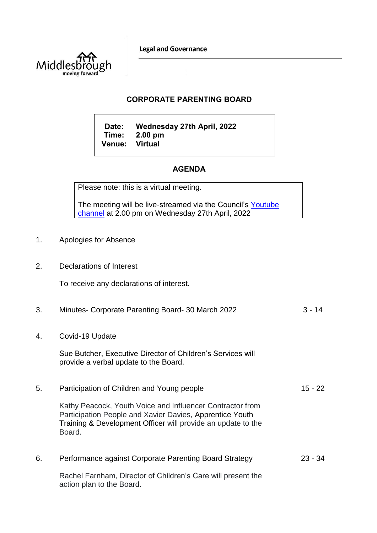**Legal and Governance** 



## **CORPORATE PARENTING BOARD**

**Date: Wednesday 27th April, 2022 Time: 2.00 pm Venue:** 

## **AGENDA**

Please note: this is a virtual meeting.

The meeting will be live-streamed via the Council's Youtube [channel](https://www.youtube.com/user/middlesboroughcouncil) at 2.00 pm on Wednesday 27th April, 2022

- 1. Apologies for Absence
- 2. Declarations of Interest

To receive any declarations of interest.

| 3. | Minutes- Corporate Parenting Board- 30 March 2022                                                                                                                                               | $3 - 14$  |
|----|-------------------------------------------------------------------------------------------------------------------------------------------------------------------------------------------------|-----------|
| 4. | Covid-19 Update                                                                                                                                                                                 |           |
|    | Sue Butcher, Executive Director of Children's Services will<br>provide a verbal update to the Board.                                                                                            |           |
| 5. | Participation of Children and Young people                                                                                                                                                      | $15 - 22$ |
|    | Kathy Peacock, Youth Voice and Influencer Contractor from<br>Participation People and Xavier Davies, Apprentice Youth<br>Training & Development Officer will provide an update to the<br>Board. |           |
| 6. | Performance against Corporate Parenting Board Strategy                                                                                                                                          | $23 - 34$ |
|    | Rachel Farnham, Director of Children's Care will present the<br>action plan to the Board.                                                                                                       |           |